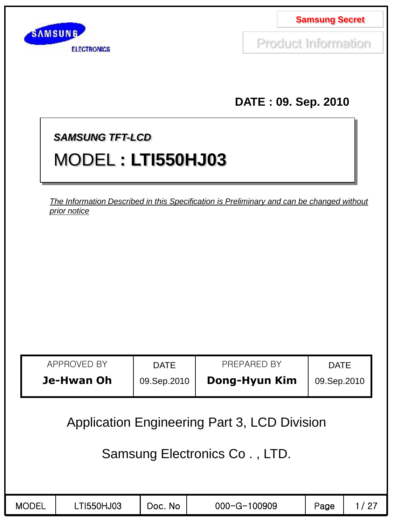

Product Information

**DATE : 09. Sep. 2010**

## *SAMSUNG TFT-LCD*

# MODEL **: LTI550HJ03**

*The Information Described in this Specification is Preliminary and can be changed without prior notice*

| APPROVED BY | <b>DATE</b> | PREPARED BY   | <b>DATE</b> |
|-------------|-------------|---------------|-------------|
| Je-Hwan Oh  | 09.Sep.2010 | Dong-Hyun Kim | 09.Sep.2010 |

Application Engineering Part 3, LCD Division

## Samsung Electronics Co . , LTD.

|  | <b>MODEL</b> | T1550HJ03 | No.<br>Doc. | 000-G-100909 | Page | ി |
|--|--------------|-----------|-------------|--------------|------|---|
|--|--------------|-----------|-------------|--------------|------|---|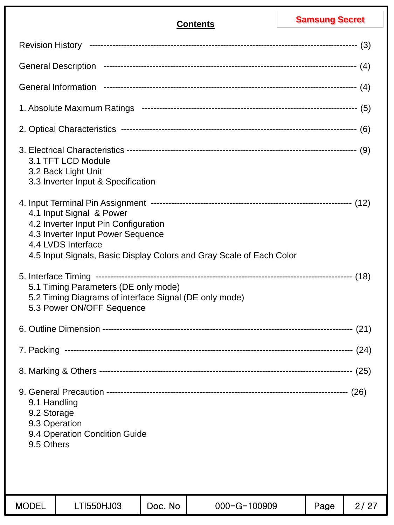|                                                                                                                                                                                                     |            |         | <b>Contents</b> |  | <b>Samsung Secret</b> |      |
|-----------------------------------------------------------------------------------------------------------------------------------------------------------------------------------------------------|------------|---------|-----------------|--|-----------------------|------|
|                                                                                                                                                                                                     |            |         |                 |  |                       |      |
|                                                                                                                                                                                                     |            |         |                 |  |                       |      |
|                                                                                                                                                                                                     |            |         |                 |  |                       |      |
|                                                                                                                                                                                                     |            |         |                 |  |                       |      |
|                                                                                                                                                                                                     |            |         |                 |  |                       |      |
| 3.1 TFT LCD Module<br>3.2 Back Light Unit<br>3.3 Inverter Input & Specification                                                                                                                     |            |         |                 |  |                       |      |
| 4.1 Input Signal & Power<br>4.2 Inverter Input Pin Configuration<br>4.3 Inverter Input Power Sequence<br>4.4 LVDS Interface<br>4.5 Input Signals, Basic Display Colors and Gray Scale of Each Color |            |         |                 |  |                       |      |
| 5.1 Timing Parameters (DE only mode)<br>5.2 Timing Diagrams of interface Signal (DE only mode)<br>5.3 Power ON/OFF Sequence                                                                         |            |         |                 |  |                       |      |
|                                                                                                                                                                                                     |            |         |                 |  |                       |      |
|                                                                                                                                                                                                     |            |         |                 |  |                       |      |
|                                                                                                                                                                                                     |            |         |                 |  |                       |      |
| 9.1 Handling<br>9.2 Storage<br>9.3 Operation<br>9.4 Operation Condition Guide<br>9.5 Others                                                                                                         |            |         |                 |  |                       |      |
| <b>MODEL</b>                                                                                                                                                                                        | LTI550HJ03 | Doc. No | 000-G-100909    |  | Page                  | 2/27 |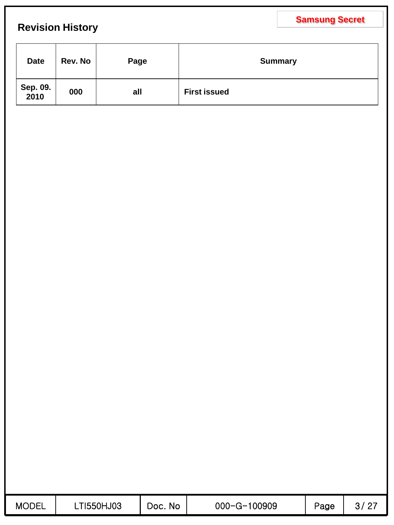## **Revision History**

| <b>Date</b>      | Rev. No | Page | <b>Summary</b>      |
|------------------|---------|------|---------------------|
| Sep. 09.<br>2010 | 000     | all  | <b>First issued</b> |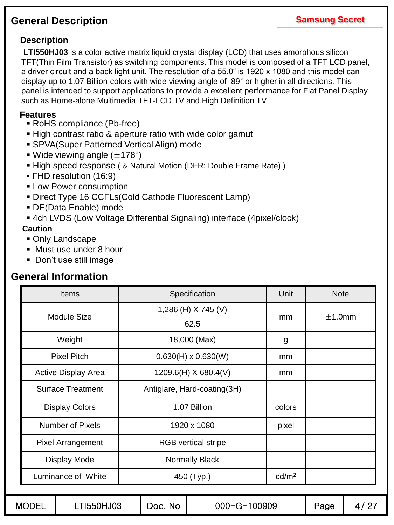## **General Description**

## **Description**

**LTI550HJ03** is a color active matrix liquid crystal display (LCD) that uses amorphous silicon TFT(Thin Film Transistor) as switching components. This model is composed of a TFT LCD panel, a driver circuit and a back light unit. The resolution of a 55.0" is 1920 x 1080 and this model can display up to 1.07 Billion colors with wide viewing angle of 89° or higher in all directions. This panel is intended to support applications to provide a excellent performance for Flat Panel Display such as Home-alone Multimedia TFT-LCD TV and High Definition TV

### **Features**

- RoHS compliance (Pb-free)
- High contrast ratio & aperture ratio with wide color gamut
- SPVA(Super Patterned Vertical Align) mode
- Wide viewing angle  $(\pm 178^{\circ})$
- High speed response ( & Natural Motion (DFR: Double Frame Rate) )
- FHD resolution (16:9)
- **ELOW Power consumption**
- Direct Type 16 CCFLs(Cold Cathode Fluorescent Lamp)
- DE(Data Enable) mode
- 4ch LVDS (Low Voltage Differential Signaling) interface (4pixel/clock)

### **Caution**

- Only Landscape
- Must use under 8 hour
- Don't use still image

## **General Information**

| <b>Items</b>               | Specification               | Unit              | <b>Note</b> |
|----------------------------|-----------------------------|-------------------|-------------|
| <b>Module Size</b>         | 1,286 (H) X 745 (V)         |                   | $±1.0$ mm   |
|                            | 62.5                        | mm                |             |
| Weight                     | 18,000 (Max)                | g                 |             |
| <b>Pixel Pitch</b>         | $0.630(H) \times 0.630(W)$  | mm                |             |
| <b>Active Display Area</b> | 1209.6(H) X 680.4(V)        | mm                |             |
| <b>Surface Treatment</b>   | Antiglare, Hard-coating(3H) |                   |             |
| <b>Display Colors</b>      | 1.07 Billion                | colors            |             |
| <b>Number of Pixels</b>    | 1920 x 1080                 | pixel             |             |
| <b>Pixel Arrangement</b>   | <b>RGB</b> vertical stripe  |                   |             |
| Display Mode               | Normally Black              |                   |             |
| Luminance of White         | 450 (Typ.)                  | cd/m <sup>2</sup> |             |
|                            |                             |                   |             |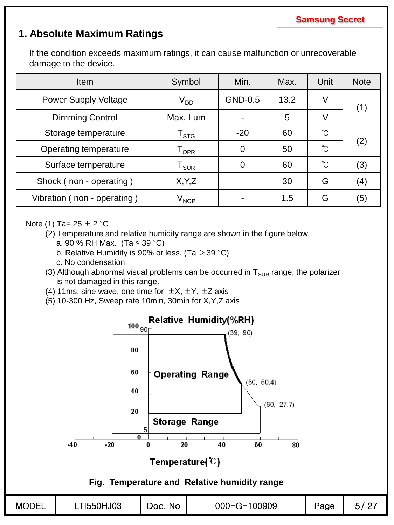## **1. Absolute Maximum Ratings**

If the condition exceeds maximum ratings, it can cause malfunction or unrecoverable damage to the device.

| <b>Item</b>                 | Symbol                         | Min.           | Max. | Unit            | <b>Note</b> |
|-----------------------------|--------------------------------|----------------|------|-----------------|-------------|
| <b>Power Supply Voltage</b> | $\rm V_{DD}$                   | GND-0.5        | 13.2 | V               | (1)         |
| <b>Dimming Control</b>      | Max. Lum                       |                | 5    | V               |             |
| Storage temperature         | $I_{\text{STG}}$               | $-20$          | 60   | С°              |             |
| Operating temperature       | $\mathsf{T}_{\mathsf{OPR}}$    | $\overline{0}$ | 50   | °C              | (2)         |
| Surface temperature         | ${\tt T_{SUR}}$                | 0              | 60   | $\int_0^\infty$ | (3)         |
| Shock (non - operating)     | X, Y, Z                        |                | 30   | G               | (4)         |
| Vibration (non - operating) | $\bm{\mathsf{V}}_\mathsf{NOP}$ |                | 1.5  | G               | (5)         |

### Note (1) Ta=  $25 \pm 2$  °C

- (2) Temperature and relative humidity range are shown in the figure below.
	- a. 90 % RH Max. (Ta ≤ 39 °C)
	- b. Relative Humidity is 90% or less. (Ta  $>$  39 °C)
	- c. No condensation
- (3) Although abnormal visual problems can be occurred in  $T_{SUB}$  range, the polarizer is not damaged in this range.
- (4) 11ms, sine wave, one time for  $\pm X$ ,  $\pm Y$ ,  $\pm Z$  axis
- (5) 10-300 Hz, Sweep rate 10min, 30min for X,Y,Z axis

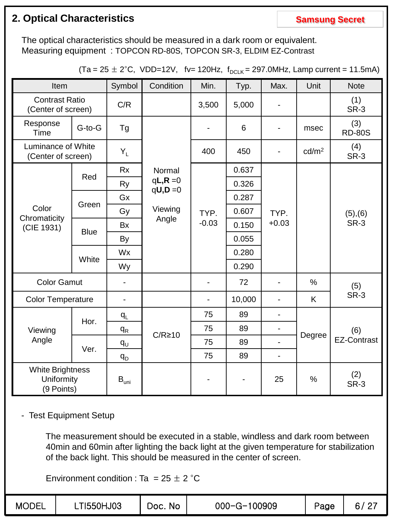## **2. Optical Characteristics Samsung Secret Samsung Secret**

The optical characteristics should be measured in a dark room or equivalent. Measuring equipment : TOPCON RD-80S, TOPCON SR-3, ELDIM EZ-Contrast

| Item                                         |              | Symbol                      | Condition                | Min.    | Typ.           | Max.                     | Unit              | <b>Note</b>          |
|----------------------------------------------|--------------|-----------------------------|--------------------------|---------|----------------|--------------------------|-------------------|----------------------|
| <b>Contrast Ratio</b><br>(Center of screen)  |              | C/R                         |                          | 3,500   | 5,000          |                          |                   | (1)<br>SR-3          |
| Response<br><b>Time</b>                      | $G$ -to- $G$ | Tg                          |                          |         | $6\phantom{1}$ | $\overline{\phantom{a}}$ | msec              | (3)<br><b>RD-80S</b> |
| Luminance of White<br>(Center of screen)     |              | $Y_L$                       |                          | 400     | 450            |                          | cd/m <sup>2</sup> | (4)<br>SR-3          |
|                                              |              | <b>Rx</b>                   | Normal                   |         | 0.637          |                          |                   |                      |
|                                              | Red          |                             | $qL, R = 0$<br>$qU, D=0$ |         | 0.326          |                          |                   |                      |
|                                              |              | Gx                          |                          |         | 0.287          |                          |                   |                      |
| Color<br>Chromaticity<br>(CIE 1931)          | Green        | Gy                          | Viewing                  | TYP.    | 0.607          | TYP.                     |                   | (5), (6)             |
|                                              |              | <b>Bx</b>                   | Angle                    | $-0.03$ | 0.150          | $+0.03$                  |                   | SR-3                 |
|                                              | <b>Blue</b>  | By                          |                          |         | 0.055          |                          |                   |                      |
|                                              | White        | Wx                          |                          |         | 0.280          |                          |                   |                      |
|                                              |              | Wy                          |                          |         | 0.290          |                          |                   |                      |
| <b>Color Gamut</b>                           |              |                             |                          |         | 72             |                          | %                 | (5)                  |
| <b>Color Temperature</b>                     |              | $\blacksquare$              |                          |         | 10,000         |                          | K                 | <b>SR-3</b>          |
|                                              |              | $q_L$                       |                          | 75      | 89             | $\overline{\phantom{a}}$ |                   |                      |
| Viewing                                      | Hor.         | $q_{R}$                     |                          | 75      | 89             | $\blacksquare$           |                   | (6)                  |
| Angle                                        |              | $q_{U}$                     | $C/R \ge 10$             | 75      | 89             | $\overline{\phantom{0}}$ | Degree            | <b>EZ-Contrast</b>   |
|                                              | Ver.         | $q_{D}$                     |                          | 75      | 89             | $\blacksquare$           |                   |                      |
| White Brightness<br>Uniformity<br>(9 Points) |              | $\mathsf{B}_{\mathsf{uni}}$ |                          |         |                | 25                       | $\frac{0}{0}$     | (2)<br>SR-3          |

 $(Ta = 25 \pm 2^{\circ}C, \text{ VDD=12V}, \text{fv= 120Hz}, f_{DCLK} = 297.0 \text{MHz}, \text{Lamp current = 11.5mA})$ 

- Test Equipment Setup

The measurement should be executed in a stable, windless and dark room between 40min and 60min after lighting the back light at the given temperature for stabilization of the back light. This should be measured in the center of screen.

Environment condition : Ta =  $25 \pm 2$  °C

| <b>MODEL</b> | T1550HJ03 | Doc.<br><b>No</b> | 100909<br>$000 - G - 1$ | Page | . റ−<br>C.<br>_ |
|--------------|-----------|-------------------|-------------------------|------|-----------------|
|--------------|-----------|-------------------|-------------------------|------|-----------------|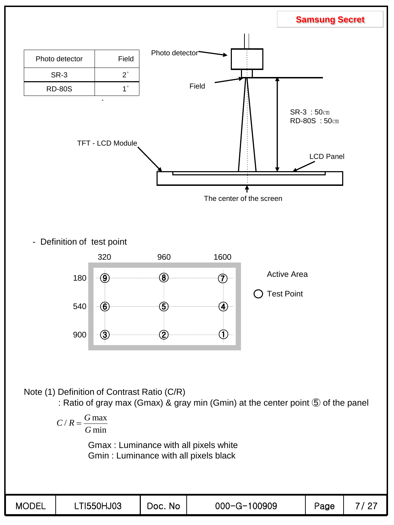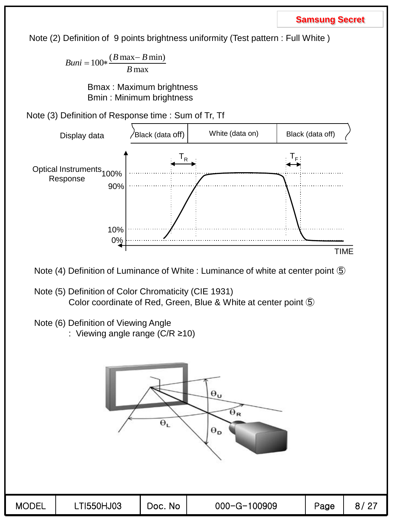Note (2) Definition of 9 points brightness uniformity (Test pattern : Full White )

 $Buni = 100 * \frac{(B \max - B)}{B}$ *B*  $=100 * \frac{(B \max - B \min)}{B}$ max

> Bmax : Maximum brightness Bmin : Minimum brightness

Note (3) Definition of Response time : Sum of Tr, Tf



Note (4) Definition of Luminance of White : Luminance of white at center point ⑤

- Note (5) Definition of Color Chromaticity (CIE 1931) Color coordinate of Red, Green, Blue & White at center point ⑤
- Note (6) Definition of Viewing Angle
	- : Viewing angle range (C/R ≥10)

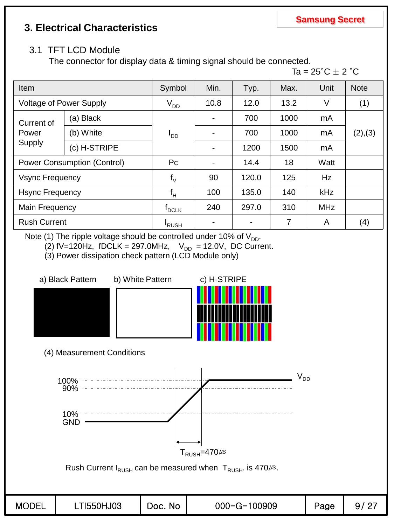## **3. Electrical Characteristics**

### 3.1 TFT LCD Module

The connector for display data & timing signal should be connected.



| Item                           |                                    | Symbol                       | Min.                     | Typ.  | Max. | Unit       | <b>Note</b> |
|--------------------------------|------------------------------------|------------------------------|--------------------------|-------|------|------------|-------------|
| <b>Voltage of Power Supply</b> |                                    | $V_{DD}$                     | 10.8                     | 12.0  | 13.2 | V          | (1)         |
| (a) Black<br>Current of        |                                    |                              | $\overline{\phantom{a}}$ | 700   | 1000 | mA         |             |
| Power                          | (b) White                          | סםי                          | $\overline{\phantom{a}}$ | 700   | 1000 | mA         | (2), (3)    |
| Supply                         | (c) H-STRIPE                       |                              | $\overline{\phantom{a}}$ | 1200  | 1500 | mA         |             |
|                                | <b>Power Consumption (Control)</b> | Pc                           | $\overline{\phantom{a}}$ | 14.4  | 18   | Watt       |             |
| <b>Vsync Frequency</b>         |                                    | $f_{\vee}$                   | 90                       | 120.0 | 125  | Hz         |             |
| <b>Hsync Frequency</b>         |                                    | $f_H$                        | 100                      | 135.0 | 140  | <b>kHz</b> |             |
| Main Frequency                 |                                    | $\mathsf{f}_{\mathsf{DCLK}}$ | 240                      | 297.0 | 310  | <b>MHz</b> |             |
| <b>Rush Current</b>            |                                    | 'RUSH                        |                          |       | 7    | A          | (4)         |

Note (1) The ripple voltage should be controlled under 10% of  $V_{DD}$ .

(2) fV=120Hz, fDCLK = 297.0MHz,  $V_{DD}$  = 12.0V, DC Current.

(3) Power dissipation check pattern (LCD Module only)

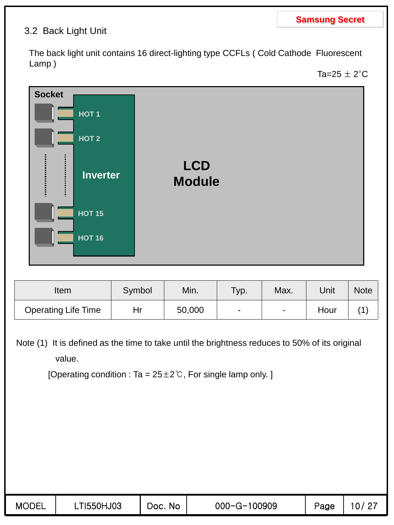### 3.2 Back Light Unit

The back light unit contains 16 direct-lighting type CCFLs ( Cold Cathode Fluorescent Lamp )

Ta=25  $\pm$  2°C



| Item                       | Symbol | Min.   | Тур.           | Max.           | Unit | Note |
|----------------------------|--------|--------|----------------|----------------|------|------|
| <b>Operating Life Time</b> | Hr     | 50,000 | $\blacksquare$ | $\blacksquare$ | Hour |      |

Note (1) It is defined as the time to take until the brightness reduces to 50% of its original value.

[Operating condition : Ta =  $25\pm2\degree$ C, For single lamp only. ]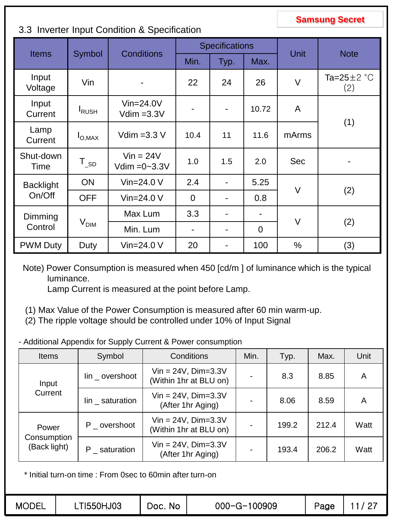### 3.3 Inverter Input Condition & Specification

|                   |                    |                                  |                              | <b>Specifications</b>    |                          |              | <b>Note</b>             |  |
|-------------------|--------------------|----------------------------------|------------------------------|--------------------------|--------------------------|--------------|-------------------------|--|
| <b>Items</b>      | Symbol             | <b>Conditions</b>                | Min.                         | Typ.                     | Max.                     | Unit         |                         |  |
| Input<br>Voltage  | Vin                |                                  | 22                           | 24                       | 26                       | $\vee$       | Ta=25 $\pm$ 2 °C<br>(2) |  |
| Input<br>Current  | <b>I</b> RUSH      | $V$ in=24.0 $V$<br>$Vdim = 3.3V$ | $\blacksquare$               | $\overline{\phantom{a}}$ | 10.72                    | $\mathsf{A}$ | (1)                     |  |
| Lamp<br>Current   | $I_{\text{O,MAX}}$ | Vdim = $3.3$ V                   | 10.4                         | 11<br>11.6               |                          | mArms        |                         |  |
| Shut-down<br>Time | $T_{SD}$           | $Vin = 24V$<br>Vdim $=0-3.3V$    | 1.0                          | 1.5                      | 2.0                      | <b>Sec</b>   |                         |  |
| <b>Backlight</b>  | <b>ON</b>          | Vin= $24.0 V$                    | 2.4                          | $\overline{\phantom{a}}$ | 5.25                     | $\vee$       |                         |  |
| On/Off            | <b>OFF</b>         | Vin= $24.0V$                     | $\overline{0}$               | $\blacksquare$           | 0.8                      |              | (2)                     |  |
| Dimming           |                    | Max Lum                          | 3.3                          | $\blacksquare$           | $\overline{\phantom{0}}$ | $\vee$       |                         |  |
| Control           | $V_{\text{DIM}}$   | Min. Lum                         | $\qquad \qquad \blacksquare$ | $\blacksquare$           | $\overline{0}$           |              | (2)                     |  |
| <b>PWM Duty</b>   | Duty               | Vin= $24.0 V$                    | 20                           | $\blacksquare$           | 100                      | $\%$         | (3)                     |  |

Note) Power Consumption is measured when 450 [cd/m ] of luminance which is the typical luminance.

Lamp Current is measured at the point before Lamp.

- (1) Max Value of the Power Consumption is measured after 60 min warm-up.
- (2) The ripple voltage should be controlled under 10% of Input Signal
- Additional Appendix for Supply Current & Power consumption

| <b>Items</b>                | Symbol           | Conditions                                           | Min. | Typ.  | Max.  | Unit |
|-----------------------------|------------------|------------------------------------------------------|------|-------|-------|------|
| Input                       | lin _ overshoot  | $Vin = 24V$ , $Dim=3.3V$<br>(Within 1hr at BLU on)   |      | 8.3   | 8.85  | A    |
| Current                     | $lin$ saturation | $Vin = 24V$ , $Dim = 3.3V$<br>(After 1hr Aging)      |      | 8.06  | 8.59  | A    |
| Power                       | P _ overshoot    | $Vin = 24V$ , $Dim = 3.3V$<br>(Within 1hr at BLU on) |      | 199.2 | 212.4 | Watt |
| Consumption<br>(Back light) | P saturation     | $Vin = 24V$ , $Dim = 3.3V$<br>(After 1hr Aging)      |      | 193.4 | 206.2 | Watt |

\* Initial turn-on time : From 0sec to 60min after turn-on

| <b>MODEL</b> | T1550HJ03 | No<br>Doc. | 000-G-100909 | Page |   |
|--------------|-----------|------------|--------------|------|---|
|              |           |            |              |      | - |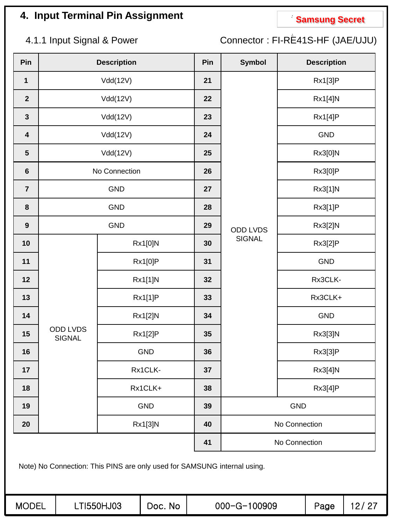# **4. Input Terminal Pin Assignment Compared Secret**

4.1.1 Input Signal & Power Connector : FI-RE41S-HF (JAE/UJU)

| Pin                     |                                  | <b>Description</b>                                                       | Pin | <b>Symbol</b> | <b>Description</b> |
|-------------------------|----------------------------------|--------------------------------------------------------------------------|-----|---------------|--------------------|
| $\mathbf 1$             |                                  | Vdd(12V)                                                                 | 21  |               | Rx1[3]P            |
| $\mathbf{2}$            |                                  | Vdd(12V)                                                                 | 22  |               | Rx1[4]N            |
| $\mathbf{3}$            |                                  | Vdd(12V)                                                                 | 23  |               | Rx1[4]P            |
| $\overline{\mathbf{4}}$ |                                  | Vdd(12V)                                                                 | 24  |               | <b>GND</b>         |
| $5\phantom{.0}$         |                                  | Vdd(12V)                                                                 | 25  |               | Rx3[0]N            |
| $\bf 6$                 |                                  | No Connection                                                            | 26  |               | Rx3[0]P            |
| $\overline{7}$          |                                  | GND                                                                      | 27  |               | Rx3[1]N            |
| $\pmb{8}$               |                                  | <b>GND</b>                                                               | 28  |               | Rx3[1]P            |
| $\boldsymbol{9}$        |                                  | <b>GND</b>                                                               | 29  | ODD LVDS      | Rx3[2]N            |
| 10                      |                                  | Rx1[0]N                                                                  | 30  | <b>SIGNAL</b> | Rx3[2]P            |
| 11                      |                                  | <b>Rx1[0]P</b>                                                           | 31  |               | <b>GND</b>         |
| 12                      |                                  | Rx1[1]N                                                                  | 32  |               | Rx3CLK-            |
| 13                      |                                  | Rx1[1]P                                                                  | 33  |               | Rx3CLK+            |
| 14                      |                                  | Rx1[2]N                                                                  | 34  |               | <b>GND</b>         |
| 15                      | <b>ODD LVDS</b><br><b>SIGNAL</b> | Rx1[2]P                                                                  | 35  |               | Rx3[3]N            |
| 16                      |                                  | <b>GND</b>                                                               | 36  |               | Rx3[3]P            |
| 17                      |                                  | Rx1CLK-                                                                  | 37  |               | Rx3[4]N            |
| 18                      |                                  | Rx1CLK+                                                                  | 38  |               | Rx3[4]P            |
| 19                      |                                  | <b>GND</b>                                                               | 39  |               | <b>GND</b>         |
| 20                      |                                  | Rx1[3]N                                                                  | 40  |               | No Connection      |
|                         |                                  |                                                                          | 41  |               | No Connection      |
|                         |                                  | Note) No Connection: This PINS are only used for SAMSUNG internal using. |     |               |                    |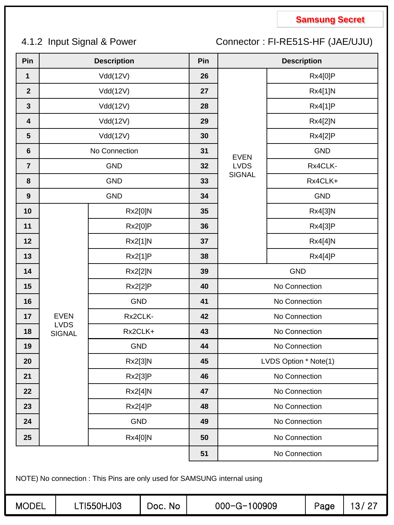## 4.1.2 Input Signal & Power Connector : FI-RE51S-HF (JAE/UJU)

| Pin              |                            | <b>Description</b>                                                                     |         | Pin |                    | <b>Description</b>             |            |       |  |
|------------------|----------------------------|----------------------------------------------------------------------------------------|---------|-----|--------------------|--------------------------------|------------|-------|--|
| 1                |                            | Vdd(12V)                                                                               |         | 26  |                    |                                | Rx4[0]P    |       |  |
| $\mathbf{2}$     |                            | Vdd(12V)                                                                               |         | 27  |                    |                                | Rx4[1]N    |       |  |
| $\mathbf{3}$     |                            | Vdd(12V)                                                                               |         | 28  |                    |                                | Rx4[1]P    |       |  |
| 4                |                            | Vdd(12V)                                                                               |         | 29  |                    |                                | Rx4[2]N    |       |  |
| $5\phantom{1}$   |                            | Vdd(12V)                                                                               |         | 30  |                    |                                |            |       |  |
| $\bf 6$          |                            | No Connection                                                                          |         | 31  | <b>EVEN</b>        |                                |            |       |  |
| $\overline{7}$   |                            | <b>GND</b>                                                                             |         | 32  | <b>LVDS</b>        |                                |            |       |  |
| 8                |                            | <b>GND</b>                                                                             |         | 33  | <b>SIGNAL</b>      |                                |            |       |  |
| $\boldsymbol{9}$ |                            | <b>GND</b>                                                                             |         | 34  |                    |                                | <b>GND</b> |       |  |
| 10               |                            | Rx2[0]N                                                                                |         | 35  |                    |                                | Rx4[3]N    |       |  |
| 11               |                            | Rx2[0]P                                                                                |         | 36  |                    |                                | Rx4[3]P    |       |  |
| 12               |                            | Rx2[1]N                                                                                |         | 37  |                    |                                | Rx4[4]N    |       |  |
| 13               |                            | Rx2[1]P                                                                                |         | 38  |                    |                                | Rx4[4]P    |       |  |
| 14               |                            | Rx2[2]N                                                                                |         | 39  |                    | <b>GND</b>                     |            |       |  |
| 15               |                            | Rx2[2]P                                                                                |         | 40  |                    | No Connection<br>No Connection |            |       |  |
| 16               |                            | <b>GND</b>                                                                             |         | 41  |                    |                                |            |       |  |
| 17               | <b>EVEN</b><br><b>LVDS</b> | Rx2CLK-                                                                                |         | 42  |                    | No Connection                  |            |       |  |
| 18               | <b>SIGNAL</b>              | Rx2CLK+                                                                                |         | 43  |                    | No Connection                  |            |       |  |
| 19               |                            | <b>GND</b>                                                                             |         | 44  |                    | No Connection                  |            |       |  |
| 20               |                            | Rx2[3]N                                                                                |         | 45  |                    | LVDS Option * Note(1)          |            |       |  |
| 21               |                            | Rx2[3]P                                                                                |         | 46  |                    | No Connection                  |            |       |  |
| 22               |                            | Rx2[4]N                                                                                |         | 47  |                    | No Connection                  |            |       |  |
| 23               |                            | Rx2[4]P                                                                                |         | 48  |                    | No Connection                  |            |       |  |
| 24               |                            | <b>GND</b>                                                                             |         | 49  |                    | No Connection                  |            |       |  |
| 25               |                            | Rx4[0]N                                                                                |         | 50  |                    | No Connection                  |            |       |  |
|                  |                            |                                                                                        |         | 51  |                    | No Connection                  |            |       |  |
| <b>MODEL</b>     |                            | NOTE) No connection : This Pins are only used for SAMSUNG internal using<br>LTI550HJ03 | Doc. No |     | $000 - G - 100909$ |                                | Page       | 13/27 |  |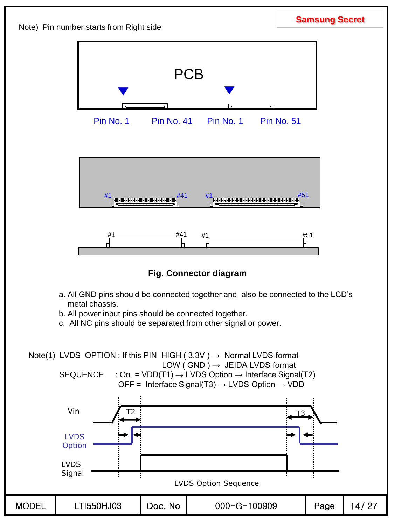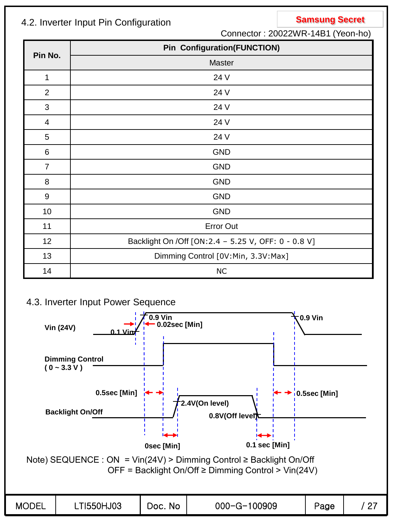## **Samsung Secret** 4.2. Inverter Input Pin Configuration

Connector : 20022WR-14B1 (Yeon-ho)

|                | <b>Pin Configuration(FUNCTION)</b>                    |
|----------------|-------------------------------------------------------|
| Pin No.        | Master                                                |
| 1              | 24 V                                                  |
| 2              | 24 V                                                  |
| $\mathfrak{B}$ | 24 V                                                  |
| $\overline{4}$ | 24 V                                                  |
| 5              | 24 V                                                  |
| 6              | <b>GND</b>                                            |
| $\overline{7}$ | <b>GND</b>                                            |
| 8              | <b>GND</b>                                            |
| $9\,$          | <b>GND</b>                                            |
| 10             | <b>GND</b>                                            |
| 11             | <b>Error Out</b>                                      |
| 12             | Backlight On / Off [ON: 2.4 - 5.25 V, OFF: 0 - 0.8 V] |
| 13             | Dimming Control [0V:Min, 3.3V:Max]                    |
| 14             | <b>NC</b>                                             |

### 4.3. Inverter Input Power Sequence

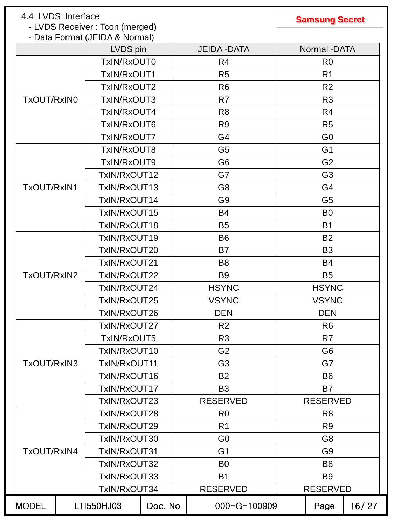## **Samsung Secret** 4.4 LVDS Interface

- LVDS Receiver : Tcon (merged)

### - Data Format (JEIDA & Normal)

|              | LVDS pin     |         | <b>JEIDA - DATA</b> | Normal -DATA    |       |
|--------------|--------------|---------|---------------------|-----------------|-------|
|              | TxIN/RxOUT0  |         | R <sub>4</sub>      | R <sub>0</sub>  |       |
|              | TxIN/RxOUT1  |         | R <sub>5</sub>      | R <sub>1</sub>  |       |
|              | TxIN/RxOUT2  |         | R <sub>6</sub>      | R <sub>2</sub>  |       |
| TxOUT/RxIN0  | TxIN/RxOUT3  |         | R <sub>7</sub>      | R <sub>3</sub>  |       |
|              | TxIN/RxOUT4  |         | R <sub>8</sub>      | R4              |       |
|              | TxIN/RxOUT6  |         | R <sub>9</sub>      | R <sub>5</sub>  |       |
|              | TxIN/RxOUT7  |         | G4                  | G <sub>0</sub>  |       |
|              | TxIN/RxOUT8  |         | G <sub>5</sub>      | G <sub>1</sub>  |       |
|              | TxIN/RxOUT9  |         | G <sub>6</sub>      | G <sub>2</sub>  |       |
|              | TxIN/RxOUT12 |         | G7                  | G <sub>3</sub>  |       |
| TxOUT/RxIN1  | TxIN/RxOUT13 |         | G <sub>8</sub>      | G4              |       |
|              | TxIN/RxOUT14 |         | G <sub>9</sub>      | G <sub>5</sub>  |       |
|              | TxIN/RxOUT15 |         | <b>B4</b>           | B <sub>0</sub>  |       |
|              | TxIN/RxOUT18 |         | <b>B5</b>           | <b>B1</b>       |       |
|              | TxIN/RxOUT19 |         | <b>B6</b>           | <b>B2</b>       |       |
|              | TxIN/RxOUT20 |         | B7                  | B <sub>3</sub>  |       |
|              | TxIN/RxOUT21 |         | B <sub>8</sub>      | <b>B4</b>       |       |
| TxOUT/RxIN2  | TxIN/RxOUT22 |         | B <sub>9</sub>      | B <sub>5</sub>  |       |
|              | TxIN/RxOUT24 |         | <b>HSYNC</b>        | <b>HSYNC</b>    |       |
|              | TxIN/RxOUT25 |         | <b>VSYNC</b>        | <b>VSYNC</b>    |       |
|              | TxIN/RxOUT26 |         | <b>DEN</b>          | <b>DEN</b>      |       |
|              | TxIN/RxOUT27 |         | R <sub>2</sub>      | R <sub>6</sub>  |       |
|              | TxIN/RxOUT5  |         | R <sub>3</sub>      | R <sub>7</sub>  |       |
|              | TxIN/RxOUT10 |         | G <sub>2</sub>      | G <sub>6</sub>  |       |
| TxOUT/RxIN3  | TxIN/RxOUT11 |         | G <sub>3</sub>      | G7              |       |
|              | TxIN/RxOUT16 |         | <b>B2</b>           | B <sub>6</sub>  |       |
|              | TxIN/RxOUT17 |         | B <sub>3</sub>      | <b>B7</b>       |       |
|              | TxIN/RxOUT23 |         | <b>RESERVED</b>     | <b>RESERVED</b> |       |
|              | TxIN/RxOUT28 |         | R <sub>0</sub>      | R <sub>8</sub>  |       |
|              | TxIN/RxOUT29 |         | R <sub>1</sub>      | R <sub>9</sub>  |       |
|              | TxIN/RxOUT30 |         | G <sub>0</sub>      | G <sub>8</sub>  |       |
| TxOUT/RxIN4  | TxIN/RxOUT31 |         | G <sub>1</sub>      | G <sub>9</sub>  |       |
|              | TxIN/RxOUT32 |         | B <sub>0</sub>      | B <sub>8</sub>  |       |
|              | TxIN/RxOUT33 |         | <b>B1</b>           | B <sub>9</sub>  |       |
|              | TxIN/RxOUT34 |         | <b>RESERVED</b>     | <b>RESERVED</b> |       |
| <b>MODEL</b> | LTI550HJ03   | Doc. No | $000 - G - 100909$  | Page            | 16/27 |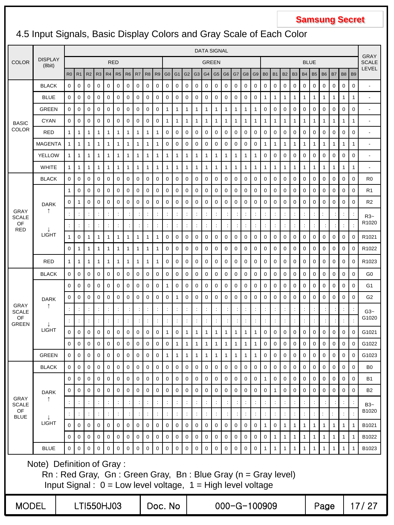## 4.5 Input Signals, Basic Display Colors and Gray Scale of Each Color

|                             |                                                                                                                                                                     |                |                      | <b>DATA SIGNAL</b>   |                      |                      |                |                     |                |                      |                      |                      | <b>GRAY</b>          |                      |                      |                |                      |                |                |                |                      |                      |                      |                      |                      |                      |                      |                      |                      |                      |                |                       |
|-----------------------------|---------------------------------------------------------------------------------------------------------------------------------------------------------------------|----------------|----------------------|----------------------|----------------------|----------------------|----------------|---------------------|----------------|----------------------|----------------------|----------------------|----------------------|----------------------|----------------------|----------------|----------------------|----------------|----------------|----------------|----------------------|----------------------|----------------------|----------------------|----------------------|----------------------|----------------------|----------------------|----------------------|----------------------|----------------|-----------------------|
| <b>COLOR</b>                | <b>DISPLAY</b><br>(8bit)                                                                                                                                            |                |                      |                      |                      |                      | <b>RED</b>     |                     |                |                      |                      |                      |                      |                      |                      |                | <b>GREEN</b>         |                |                |                |                      |                      |                      |                      |                      | <b>BLUE</b>          |                      |                      |                      |                      |                | <b>SCALE</b><br>LEVEL |
|                             |                                                                                                                                                                     | R <sub>0</sub> | R <sub>1</sub>       | R2                   | R <sub>3</sub>       | R <sub>4</sub>       | R <sub>5</sub> | R <sub>6</sub>      | R7             | R <sub>8</sub>       | R <sub>9</sub>       | G <sub>0</sub>       | G <sub>1</sub>       | G <sub>2</sub>       | G <sub>3</sub>       | G <sub>4</sub> | G <sub>5</sub>       | G <sub>6</sub> | G7             | G <sub>8</sub> | G <sub>9</sub>       | B <sub>0</sub>       | <b>B1</b>            | <b>B2</b>            | B <sub>3</sub>       | <b>B4</b>            | <b>B5</b>            | <b>B6</b>            | B7                   | B <sub>8</sub>       | B <sub>9</sub> |                       |
|                             | <b>BLACK</b>                                                                                                                                                        | $\mathbf 0$    | 0                    | 0                    | 0                    | 0                    | 0              | 0                   | 0              | 0                    | 0                    | 0                    | 0                    | 0                    | 0                    | 0              | 0                    | 0              | $\pmb{0}$      | 0              | 0                    | 0                    | 0                    | 0                    | 0                    | 0                    | 0                    | 0                    | 0                    | 0                    | 0              | ÷,                    |
|                             | <b>BLUE</b>                                                                                                                                                         | $\mathbf 0$    | 0                    | 0                    | 0                    | 0                    | 0              | 0                   | 0              | 0                    | 0                    | 0                    | 0                    | 0                    | 0                    | 0              | 0                    | 0              | $\pmb{0}$      | 0              | 0                    | 1                    | 1                    | 1                    | 1                    | 1                    | 1                    | 1                    | 1                    | 1                    | 1              | ÷.                    |
|                             | <b>GREEN</b>                                                                                                                                                        | $\mathbf 0$    | $\mathbf 0$          | $\mathbf 0$          | 0                    | $\mathbf 0$          | 0              | $\mathbf 0$         | $\mathbf 0$    | 0                    | 0                    | 1                    | 1                    | 1                    | 1                    | 1              | 1                    | $\mathbf{1}$   | $\mathbf{1}$   | $\mathbf{1}$   | $\mathbf{1}$         | 0                    | $\mathbf 0$          | $\mathbf 0$          | $\pmb{0}$            | 0                    | 0                    | $\mathbf 0$          | 0                    | 0                    | 0              | ٠                     |
| <b>BASIC</b>                | <b>CYAN</b>                                                                                                                                                         | $\mathbf 0$    | $\mathbf 0$          | 0                    | 0                    | 0                    | 0              | 0                   | 0              | 0                    | 0                    | 1                    | $\mathbf{1}$         | 1                    | 1                    | 1              | $\mathbf{1}$         | $\mathbf{1}$   | 1              | $\mathbf{1}$   | $\mathbf{1}$         | $\mathbf{1}$         | $\mathbf{1}$         | 1                    | 1                    | 1                    | 1                    | 1                    | 1                    | 1                    | 1              | ÷,                    |
| <b>COLOR</b>                | RED                                                                                                                                                                 | $\mathbf{1}$   | 1                    | 1                    | $\mathbf{1}$         | 1                    | 1              | $\mathbf{1}$        | 1              | 1                    | 1                    | 0                    | 0                    | 0                    | 0                    | 0              | 0                    | 0              | $\pmb{0}$      | 0              | 0                    | 0                    | 0                    | $\mathbf 0$          | 0                    | 0                    | 0                    | 0                    | 0                    | 0                    | 0              | ٠                     |
|                             | <b>MAGENTA</b>                                                                                                                                                      | $\mathbf{1}$   | $\mathbf{1}$         | $\mathbf{1}$         | 1                    | 1                    | 1              | 1                   | 1              | 1                    | 1                    | 0                    | 0                    | 0                    | $\mathbf 0$          | $\mathbf 0$    | $\mathbf 0$          | $\mathbf 0$    | $\pmb{0}$      | 0              | $\mathbf 0$          | $\mathbf{1}$         | $\mathbf{1}$         | 1                    | 1                    | 1                    | 1                    | 1                    | 1                    | 1                    | 1              | $\blacksquare$        |
|                             | <b>YELLOW</b>                                                                                                                                                       | $\mathbf{1}$   | $\mathbf{1}$         | 1                    | 1                    | 1                    | 1              | 1                   | 1              | 1                    | 1                    | $\mathbf{1}$         | 1                    | 1                    | 1                    | 1              | $\mathbf{1}$         | $\mathbf{1}$   | $\mathbf{1}$   | $\mathbf{1}$   | $\mathbf{1}$         | 0                    | 0                    | 0                    | 0                    | 0                    | 0                    | 0                    | 0                    | 0                    | 0              | ٠                     |
|                             | <b>WHITE</b>                                                                                                                                                        | $\mathbf{1}$   | 1                    | 1                    | $\mathbf{1}$         | 1                    | 1              | 1                   | 1              | 1                    | 1                    | 1                    | $\mathbf{1}$         | 1                    | 1                    | 1              | $\mathbf{1}$         | $\mathbf{1}$   | 1              | $\mathbf{1}$   | $\mathbf{1}$         | 1                    | $\mathbf{1}$         | 1                    | 1                    | 1                    | 1                    | 1                    | 1                    | $\mathbf{1}$         | 1              | ÷.                    |
|                             | <b>BLACK</b>                                                                                                                                                        | $\mathbf 0$    | $\mathbf 0$          | 0                    | 0                    | 0                    | 0              | 0                   | 0              | 0                    | 0                    | 0                    | 0                    | 0                    | 0                    | 0              | 0                    | 0              | $\pmb{0}$      | 0              | 0                    | 0                    | 0                    | 0                    | 0                    | 0                    | 0                    | 0                    | 0                    | 0                    | $\pmb{0}$      | R <sub>0</sub>        |
|                             |                                                                                                                                                                     | $\mathbf{1}$   | $\mathbf 0$          | 0                    | 0                    | 0                    | 0              | 0                   | 0              | 0                    | 0                    | 0                    | 0                    | 0                    | $\mathbf 0$          | $\mathbf 0$    | $\mathbf 0$          | $\mathbf 0$    | $\pmb{0}$      | 0              | $\mathbf 0$          | 0                    | $\mathbf 0$          | 0                    | 0                    | 0                    | 0                    | $\mathbf 0$          | 0                    | 0                    | $\pmb{0}$      | R <sub>1</sub>        |
|                             | <b>DARK</b>                                                                                                                                                         | $\mathbf 0$    | 1                    | $\mathbf 0$          | 0                    | 0                    | 0              | 0                   | 0              | 0                    | 0                    | 0                    | 0                    | 0                    | $\mathbf 0$          | 0              | 0                    | $\mathbf 0$    | $\pmb{0}$      | 0              | $\mathbf 0$          | 0                    | $\mathbf 0$          | $\mathbf 0$          | $\pmb{0}$            | 0                    | 0                    | $\mathbf 0$          | 0                    | 0                    | 0              | R <sub>2</sub>        |
| <b>GRAY</b><br><b>SCALE</b> | ↑                                                                                                                                                                   | $\ddot{\cdot}$ | $\ddot{\phantom{a}}$ | ÷                    | $\ddot{\phantom{a}}$ | ÷                    |                | ÷                   | $\ddot{\cdot}$ | $\ddot{\cdot}$       | ÷                    | ÷                    | $\ddot{\phantom{a}}$ | ÷                    |                      | ÷              | $\ddot{\phantom{a}}$ | ÷              | $\ddot{\cdot}$ | $\ddot{\cdot}$ | $\ddot{\cdot}$       | $\ddot{\phantom{a}}$ | ÷                    | $\ddot{\phantom{a}}$ | $\ddot{\cdot}$       | ÷                    | ÷                    | t                    | ÷                    | ÷                    | $\ddot{\cdot}$ | $R3-$                 |
| OF<br><b>RED</b>            |                                                                                                                                                                     | ÷              | $\ddot{\phantom{a}}$ | ÷                    | $\ddot{\phantom{a}}$ |                      |                |                     |                |                      |                      | $\ddot{\cdot}$       | $\ddot{\cdot}$       | t                    |                      |                | $\ddot{\phantom{a}}$ |                | $\ddot{\cdot}$ | $\ddot{\cdot}$ | $\ddot{\phantom{a}}$ | $\ddot{\phantom{a}}$ | $\ddot{\phantom{a}}$ | $\ddot{\cdot}$       |                      |                      |                      |                      | $\ddot{\cdot}$       | $\ddot{\phantom{a}}$ |                | R1020                 |
|                             | <b>LIGHT</b>                                                                                                                                                        | $\mathbf{1}$   | $\mathbf 0$          | $\mathbf{1}$         | $\mathbf{1}$         | 1                    | 1              | 1                   | $\mathbf{1}$   | 1                    | 1                    | 0                    | 0                    | 0                    | 0                    | 0              | 0                    | 0              | $\pmb{0}$      | 0              | $\mathbf 0$          | 0                    | $\mathbf 0$          | $\mathbf 0$          | 0                    | 0                    | 0                    | 0                    | 0                    | 0                    | 0              | R <sub>1021</sub>     |
|                             |                                                                                                                                                                     | 0              | 1                    | 1                    | 1                    | 1                    | 1              | 1                   | 1              | 1                    | 1                    | 0                    | 0                    | 0                    | 0                    | 0              | 0                    | 0              | $\pmb{0}$      | 0              | 0                    | 0                    | 0                    | $\pmb{0}$            | 0                    | 0                    | 0                    | 0                    | 0                    | 0                    | 0              | R1022                 |
|                             | <b>RED</b>                                                                                                                                                          | $\mathbf{1}$   | 1                    | 1                    | 1                    | 1                    | 1              | 1                   | 1              | 1                    | 1                    | 0                    | 0                    | 0                    | 0                    | $\mathbf 0$    | $\mathbf 0$          | 0              | $\pmb{0}$      | 0              | 0                    | 0                    | 0                    | 0                    | 0                    | 0                    | 0                    | 0                    | 0                    | 0                    | 0              | R1023                 |
|                             | <b>BLACK</b>                                                                                                                                                        | $\mathbf 0$    | 0                    | 0                    | 0                    | 0                    | 0              | 0                   | 0              | 0                    | 0                    | 0                    | 0                    | 0                    | 0                    | 0              | 0                    | 0              | $\mathbf 0$    | 0              | 0                    | 0                    | 0                    | 0                    | 0                    | 0                    | 0                    | 0                    | 0                    | 0                    | 0              | G0                    |
|                             |                                                                                                                                                                     | $\mathbf 0$    | 0                    | 0                    | 0                    | 0                    | 0              | 0                   | 0              | 0                    | 0                    | 1                    | 0                    | 0                    | 0                    | 0              | 0                    | $\pmb{0}$      | $\pmb{0}$      | 0              | 0                    | 0                    | 0                    | 0                    | 0                    | 0                    | 0                    | 0                    | 0                    | 0                    | 0              | G <sub>1</sub>        |
|                             | <b>DARK</b>                                                                                                                                                         | $\mathbf 0$    | $\mathbf 0$          | $\mathbf 0$          | 0                    | $\mathbf 0$          | 0              | $\mathbf 0$         | $\mathbf 0$    | 0                    | 0                    | $\mathbf 0$          | $\mathbf{1}$         | 0                    | $\mathbf 0$          | $\mathbf 0$    | $\mathbf 0$          | $\mathbf 0$    | $\pmb{0}$      | 0              | $\mathbf 0$          | $\mathbf 0$          | $\mathbf 0$          | $\mathsf 0$          | $\pmb{0}$            | 0                    | $\mathbf 0$          | $\mathbf 0$          | 0                    | 0                    | $\pmb{0}$      | G <sub>2</sub>        |
| GRAY<br>SCALE               | ↑                                                                                                                                                                   | ÷              | $\ddot{\cdot}$       | ÷                    | ÷                    | $\ddot{\phantom{a}}$ | $\ddot{\cdot}$ |                     |                | $\ddot{\phantom{a}}$ | $\ddot{\phantom{a}}$ | ÷                    | $\ddot{\cdot}$       | $\ddot{\cdot}$       | $\ddot{\phantom{0}}$ | $\ddot{\cdot}$ | $\ddot{\cdot}$       | $\ddot{\cdot}$ | $\ddot{\cdot}$ | $\ddot{\cdot}$ | $\ddot{\phantom{a}}$ | ÷                    | ÷                    | $\ddot{\phantom{a}}$ | $\ddot{\cdot}$       | $\ddot{\cdot}$       | ÷                    |                      | $\ddot{\cdot}$       | $\ddot{\cdot}$       | $\ddot{\cdot}$ | $G3-$                 |
| OF<br><b>GREEN</b>          |                                                                                                                                                                     | ÷              | ÷                    | $\ddot{\phantom{a}}$ |                      |                      |                |                     |                | $\ddot{\phantom{a}}$ | $\ddot{\cdot}$       | $\ddot{\cdot}$       | $\ddot{\cdot}$       | t                    |                      |                | $\ddot{\cdot}$       |                |                | $\ddot{\cdot}$ | $\ddot{\phantom{a}}$ | $\ddot{\phantom{a}}$ | $\ddot{\phantom{a}}$ | $\ddot{\phantom{a}}$ |                      |                      |                      |                      |                      | $\ddot{\cdot}$       |                | G1020                 |
|                             | <b>LIGHT</b>                                                                                                                                                        | $\mathbf 0$    | $\mathbf 0$          | $\mathbf 0$          | 0                    | $\mathbf 0$          | $\mathbf 0$    | $\mathbf 0$         | $\mathbf 0$    | 0                    | 0                    | 1                    | $\mathbf 0$          | 1                    | 1                    | 1              | $\mathbf{1}$         | $\overline{1}$ | $\mathbf{1}$   | $\mathbf{1}$   | $\mathbf{1}$         | $\mathbf 0$          | $\mathbf 0$          | $\mathsf 0$          | $\mathbf 0$          | 0                    | $\mathbf 0$          | $\mathbf 0$          | 0                    | 0                    | $\mathbf 0$    | G1021                 |
|                             |                                                                                                                                                                     | $\mathbf 0$    | 0                    | 0                    | 0                    | 0                    | 0              | 0                   | 0              | 0                    | 0                    | 0                    | $\mathbf{1}$         | 1                    | 1                    | 1              | $\mathbf{1}$         | $\mathbf{1}$   | 1              | $\mathbf{1}$   | $\mathbf{1}$         | 0                    | 0                    | 0                    | 0                    | 0                    | 0                    | 0                    | 0                    | 0                    | 0              | G1022                 |
|                             | <b>GREEN</b>                                                                                                                                                        | 0              | 0                    | 0                    | 0                    | 0                    | 0              | 0                   | 0              | 0                    | 0                    | 1                    | 1                    | 1                    | 1                    | 1              | $\mathbf 1$          | $\mathbf 1$    | 1              | 1              | 1                    | 0                    | 0                    | 0                    | 0                    | 0                    | 0                    | 0                    | 0                    | 0                    | 0              | G1023                 |
|                             | <b>BLACK</b>                                                                                                                                                        | $\pmb{0}$      | 0                    | 0                    | 0                    | 0                    | 0              | $\mathbf 0$         | $\mathbf 0$    | 0                    | 0                    | 0                    | 0                    | 0                    | 0                    | 0              | $\mathbf 0$          | $\mathbf 0$    | $\pmb{0}$      | 0              | 0                    | 0                    | 0                    | $\mathbf 0$          | $\pmb{0}$            | 0                    | 0                    | $\mathbf 0$          | 0                    | 0                    | 0              | B <sub>0</sub>        |
|                             |                                                                                                                                                                     | $\mathbf 0$    | $\mathbf 0$          | $\mathbf 0$          | $\mathsf{O}$         | $\mathbf 0$          | $\mathbf 0$    | $\mathsf{O}$        | $\mathbf 0$    | $\pmb{0}$            | $\mathbf 0$          | $\mathbf 0$          | $\pmb{0}$            | $\mathbf 0$          | $\mathbf 0$          | $\mathbf 0$    | $\mathbf 0$          | $\mathsf 0$    | $\pmb{0}$      | $\pmb{0}$      | $\mathbf 0$          | $\mathbf{1}$         | 0                    | $\mathsf{O}\xspace$  | 0                    | $\mathbf 0$          | $\mathsf{O}$         | $\overline{0}$       | $\pmb{0}$            | $\mathbf 0$          | $\mathbf 0$    | <b>B1</b>             |
|                             | <b>DARK</b>                                                                                                                                                         | $\mathbf 0$    | $\mathbf 0$          | $\pmb{0}$            | 0                    | 0                    | $\mathbf 0$    | $\mathbf 0$         | $\pmb{0}$      | 0                    | $\mathbf 0$          | $\mathbf 0$          | $\mathbf 0$          | 0                    | $\mathbf 0$          | $\mathbf 0$    | $\mathbf 0$          | $\mathbf 0$    | $\mathbf 0$    | $\mathbf 0$    | $\mathbf 0$          | $\pmb{0}$            | $\mathbf{1}$         | $\mathbf 0$          | 0                    | $\pmb{0}$            | $\mathbf 0$          | $\pmb{0}$            | $\mathsf 0$          | $\mathbf 0$          | $\mathbf 0$    | <b>B2</b>             |
| <b>GRAY</b><br><b>SCALE</b> | 1                                                                                                                                                                   | ÷              | ÷                    | ÷                    |                      |                      |                | ÷                   | ÷              | ÷                    | ÷                    | ÷                    | $\ddot{\cdot}$       | $\ddot{\phantom{a}}$ |                      |                |                      |                | ÷              | $\ddot{\cdot}$ | $\ddot{\cdot}$       |                      |                      |                      |                      |                      |                      |                      | ÷                    | ÷                    | ÷              | $B3-$                 |
| OF<br><b>BLUE</b>           |                                                                                                                                                                     | ÷              | ÷                    | ÷                    | $\ddot{\phantom{a}}$ | ÷                    |                |                     |                | $\ddot{\phantom{a}}$ | $\ddot{\phantom{a}}$ | $\ddot{\phantom{a}}$ | $\ddot{\phantom{a}}$ | $\ddot{\cdot}$       | $\ddot{\phantom{a}}$ | $\ddot{\cdot}$ | $\ddot{\cdot}$       |                |                | $\ddot{\cdot}$ | $\ddot{\cdot}$       | $\ddot{\phantom{a}}$ | ÷                    | $\ddot{\phantom{a}}$ | $\ddot{\phantom{a}}$ | $\ddot{\phantom{a}}$ | $\ddot{\phantom{a}}$ | $\ddot{\phantom{a}}$ | $\ddot{\phantom{a}}$ | $\ddot{\cdot}$       |                | B1020                 |
|                             | <b>LIGHT</b>                                                                                                                                                        | $\mathbf 0$    | $\mathbf 0$          | $\pmb{0}$            | 0                    | 0                    | $\mathbf 0$    | $\mathbf 0$         | $\mathbf 0$    | 0                    | $\mathbf 0$          | $\mathbf 0$          | $\mathbf 0$          | $\mathbf 0$          | $\mathbf 0$          | $\mathbf 0$    | $\mathbf 0$          | $\mathbf 0$    | $\mathbf 0$    | $\mathbf 0$    | $\mathbf 0$          | $\mathbf{1}$         | $\mathbf 0$          | $\mathbf{1}$         | $\mathbf{1}$         | $\mathbf{1}$         | $\mathbf{1}$         | $\mathbf{1}$         | $\mathbf{1}$         | $1 \mid$             | $\mathbf{1}$   | B1021                 |
|                             |                                                                                                                                                                     | $\mathbf 0$    | $\mathbf 0$          | $\mathbf 0$          | 0                    | 0                    | $\pmb{0}$      | $\mathsf{O}\xspace$ | $\mathbf 0$    | 0                    | 0                    | $\mathsf 0$          | $\pmb{0}$            | 0                    | $\pmb{0}$            | $\mathbf 0$    | $\mathsf 0$          | $\mathbf 0$    | $\pmb{0}$      | $\pmb{0}$      | $\pmb{0}$            | 0                    | $\mathbf{1}$         | $\mathbf{1}$         | 1                    | $\mathbf{1}$         | $\mathbf{1}$         | $\mathbf{1}$         | $\mathbf{1}$         | $\mathbf{1}$         | $\mathbf{1}$   | B1022                 |
|                             | <b>BLUE</b>                                                                                                                                                         | $\mathbf 0$    | $\mathbf 0$          | $\mathbf 0$          | $\mathbf 0$          | $\mathbf 0$          | $\mathsf 0$    | $\mathbf 0$         | $\mathbf{0}$   | $\overline{0}$       | $\mathbf 0$          | $\mathbf 0$          | $\mathbf 0$          | $\mathsf 0$          | $\mathbf 0$          | $\mathbf 0$    | $\mathsf 0$          | $\mathsf 0$    | $\pmb{0}$      | $\pmb{0}$      | $\mathsf{O}\xspace$  | $\mathbf{1}$         | $\mathbf{1}$         | $\mathbf{1}$         | 1                    | $\mathbf{1}$         | $\mathbf{1}$         | $\mathbf{1}$         | $\mathbf{1}$         | $1 \mid$             | $\mathbf{1}$   | B1023                 |
|                             | Note) Definition of Gray:<br>$Rn$ : Red Gray, Gn: Green Gray, Bn: Blue Gray ( $n =$ Gray level)<br>Input Signal : $0 = Low$ level voltage, $1 = High$ level voltage |                |                      |                      |                      |                      |                |                     |                |                      |                      |                      |                      |                      |                      |                |                      |                |                |                |                      |                      |                      |                      |                      |                      |                      |                      |                      |                      |                |                       |
| <b>MODEL</b>                |                                                                                                                                                                     |                |                      | LTI550HJ03           |                      |                      |                |                     |                |                      |                      | Doc. No              |                      |                      |                      |                |                      |                |                |                | $000 - G - 100909$   |                      |                      |                      |                      |                      |                      | Page                 |                      |                      |                | 17/27                 |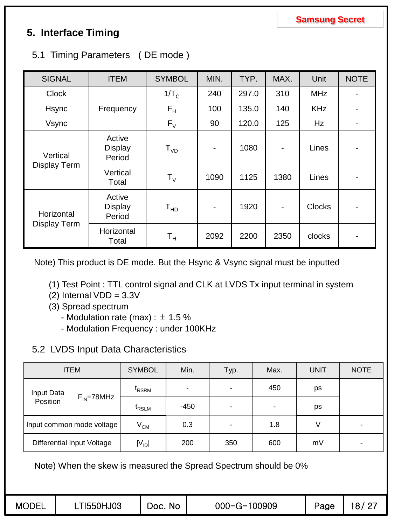## **5. Interface Timing**

|  | 5.1 Timing Parameters (DE mode) |  |
|--|---------------------------------|--|
|--|---------------------------------|--|

| <b>SIGNAL</b> | <b>ITEM</b>                        | <b>SYMBOL</b>               | MIN.                         | TYP.  | MAX.                     | Unit          | <b>NOTE</b>              |
|---------------|------------------------------------|-----------------------------|------------------------------|-------|--------------------------|---------------|--------------------------|
| <b>Clock</b>  |                                    | 1/T <sub>C</sub>            | 240                          | 297.0 | 310                      | <b>MHz</b>    | -                        |
| Hsync         | Frequency                          | $F_{\rm H}$                 | 100                          | 135.0 | 140                      | <b>KHz</b>    | -                        |
| Vsync         |                                    | $F_V$                       | 90                           | 120.0 | 125                      | <b>Hz</b>     | $\overline{\phantom{a}}$ |
| Vertical      | Active<br><b>Display</b><br>Period | ${\sf T}_{{\sf V} {\sf D}}$ | $\overline{\phantom{a}}$     | 1080  | $\overline{\phantom{a}}$ | Lines         | $\overline{\phantom{a}}$ |
| Display Term  | Vertical<br>Total                  | $\mathsf{T}_{\mathsf{V}}$   | 1090                         | 1125  | 1380                     | Lines         | $\overline{\phantom{a}}$ |
| Horizontal    | Active<br><b>Display</b><br>Period | T <sub>HD</sub>             | $\qquad \qquad \blacksquare$ | 1920  | $\blacksquare$           | <b>Clocks</b> | -                        |
| Display Term  | Horizontal<br>Total                | Т <sub>н</sub>              | 2092                         | 2200  | 2350                     | clocks        | -                        |

Note) This product is DE mode. But the Hsync & Vsync signal must be inputted

- (1) Test Point : TTL control signal and CLK at LVDS Tx input terminal in system
- (2) Internal  $VDD = 3.3V$
- (3) Spread spectrum
	- Modulation rate (max) :  $\pm$  1.5 %
	- Modulation Frequency : under 100KHz

### 5.2 LVDS Input Data Characteristics

|            | <b>ITEM</b>                       | <b>SYMBOL</b>     | Min.   | Typ. | Max. | <b>UNIT</b> | <b>NOTE</b> |
|------------|-----------------------------------|-------------------|--------|------|------|-------------|-------------|
| Input Data |                                   | <sup>t</sup> rsrm |        |      | 450  | ps          |             |
| Position   | $F_{IN}$ =78MHz                   | <sup>L</sup> RSLM | $-450$ | -    |      | ps          |             |
|            | Input common mode voltage         | $V^{\text{CM}}$   | 0.3    | -    | 1.8  |             |             |
|            | <b>Differential Input Voltage</b> | $ V_{ID} $        | 200    | 350  | 600  | mV          |             |

Note) When the skew is measured the Spread Spectrum should be 0%

| <b>MODEL</b> | LTI550HJ03 | Doc. No | 000-G-100909 | Page | 18/27 |
|--------------|------------|---------|--------------|------|-------|
|              |            |         |              |      |       |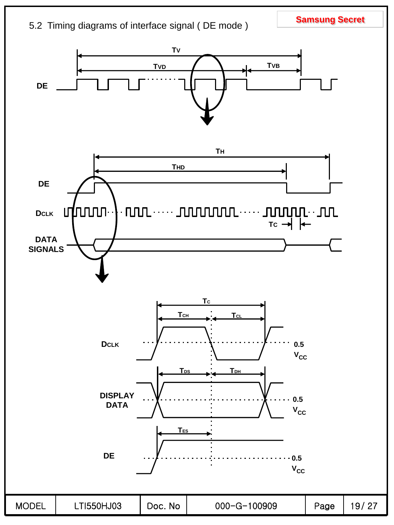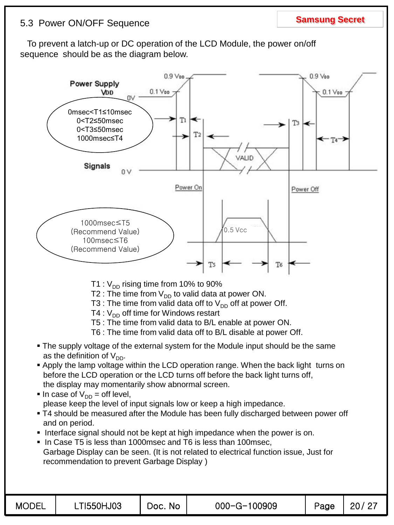## **Samsung Secret** 5.3 Power ON/OFF Sequence

### To prevent a latch-up or DC operation of the LCD Module, the power on/off sequence should be as the diagram below.

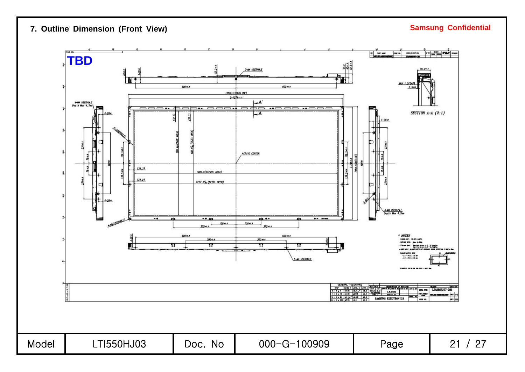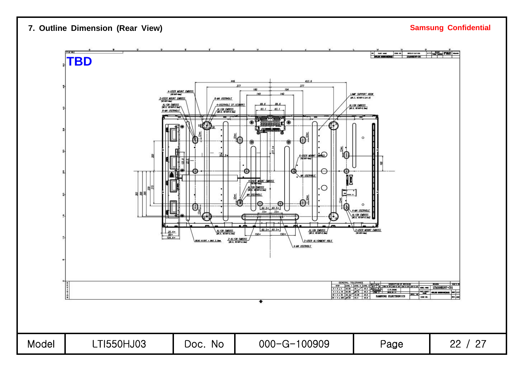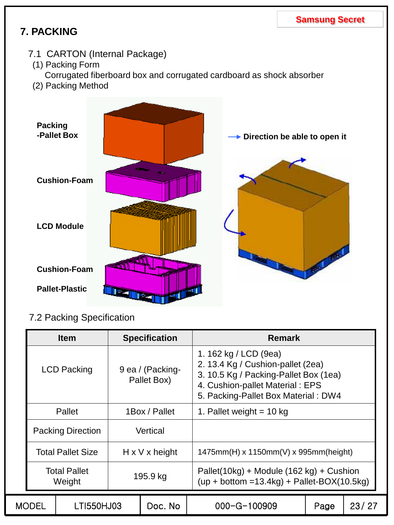## **7. PACKING**

- 7.1 CARTON (Internal Package)
- (1) Packing Form
	- Corrugated fiberboard box and corrugated cardboard as shock absorber
- (2) Packing Method



## 7.2 Packing Specification

|                                       | <b>Item</b>                   | <b>Specification</b>            | <b>Remark</b>                                                                                                                                                                 |       |  |  |  |
|---------------------------------------|-------------------------------|---------------------------------|-------------------------------------------------------------------------------------------------------------------------------------------------------------------------------|-------|--|--|--|
|                                       | <b>LCD Packing</b>            | 9 ea / (Packing-<br>Pallet Box) | 1. 162 kg / LCD (9ea)<br>2. 13.4 Kg / Cushion-pallet (2ea)<br>3. 10.5 Kg / Packing-Pallet Box (1ea)<br>4. Cushion-pallet Material: EPS<br>5. Packing-Pallet Box Material: DW4 |       |  |  |  |
|                                       | Pallet                        | 1Box / Pallet                   | 1. Pallet weight $= 10$ kg                                                                                                                                                    |       |  |  |  |
|                                       | <b>Packing Direction</b>      | Vertical                        |                                                                                                                                                                               |       |  |  |  |
|                                       | <b>Total Pallet Size</b>      | $H \times V \times$ height      | $1475mm(H)$ x 1150mm(V) x 995mm(height)                                                                                                                                       |       |  |  |  |
|                                       | <b>Total Pallet</b><br>Weight | 195.9 kg                        | Pallet(10kg) + Module (162 kg) + Cushion<br>$(up + bottom = 13.4kg) + Pallet-BOX(10.5kg))$                                                                                    |       |  |  |  |
| <b>MODEL</b><br>LTI550HJ03<br>Doc. No |                               | $000 - G - 100909$              | Page                                                                                                                                                                          | 23/27 |  |  |  |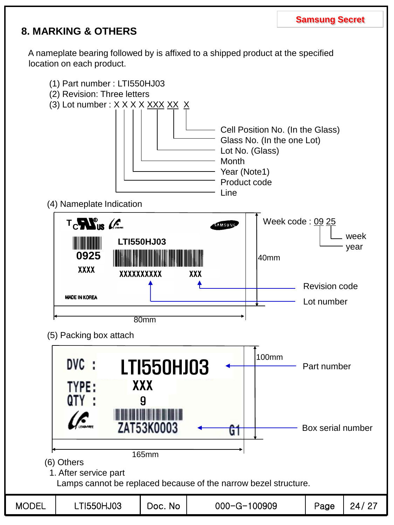## **8. MARKING & OTHERS**

A nameplate bearing followed by is affixed to a shipped product at the specified location on each product.

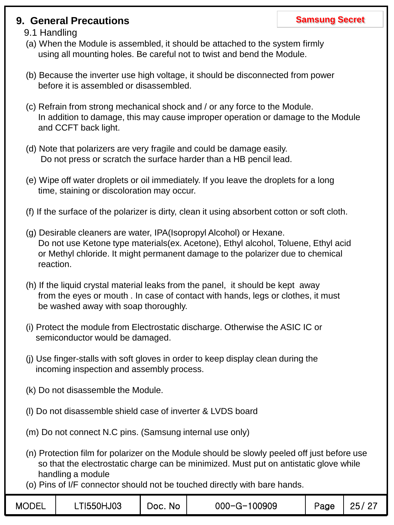### **9. General Precautions Samsung Secret Samsung Secret**

### 9.1 Handling

- (a) When the Module is assembled, it should be attached to the system firmly using all mounting holes. Be careful not to twist and bend the Module.
- (b) Because the inverter use high voltage, it should be disconnected from power before it is assembled or disassembled.
- (c) Refrain from strong mechanical shock and / or any force to the Module. In addition to damage, this may cause improper operation or damage to the Module and CCFT back light.
- (d) Note that polarizers are very fragile and could be damage easily. Do not press or scratch the surface harder than a HB pencil lead.
- (e) Wipe off water droplets or oil immediately. If you leave the droplets for a long time, staining or discoloration may occur.
- (f) If the surface of the polarizer is dirty, clean it using absorbent cotton or soft cloth.
- (g) Desirable cleaners are water, IPA(Isopropyl Alcohol) or Hexane. Do not use Ketone type materials(ex. Acetone), Ethyl alcohol, Toluene, Ethyl acid or Methyl chloride. It might permanent damage to the polarizer due to chemical reaction.
- (h) If the liquid crystal material leaks from the panel, it should be kept away from the eyes or mouth . In case of contact with hands, legs or clothes, it must be washed away with soap thoroughly.
- (i) Protect the module from Electrostatic discharge. Otherwise the ASIC IC or semiconductor would be damaged.
- (j) Use finger-stalls with soft gloves in order to keep display clean during the incoming inspection and assembly process.
- (k) Do not disassemble the Module.
- (l) Do not disassemble shield case of inverter & LVDS board
- (m) Do not connect N.C pins. (Samsung internal use only)
- (n) Protection film for polarizer on the Module should be slowly peeled off just before use so that the electrostatic charge can be minimized. Must put on antistatic glove while handling a module
- (o) Pins of I/F connector should not be touched directly with bare hands.

| <b>MODEL</b> | LTI550HJ03 | Doc. No | $000 - G - 100909$ | Page | 25/27 |
|--------------|------------|---------|--------------------|------|-------|
|--------------|------------|---------|--------------------|------|-------|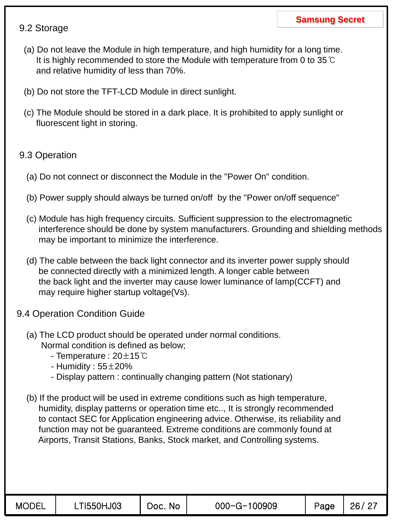### 9.2 Storage

- (a) Do not leave the Module in high temperature, and high humidity for a long time. It is highly recommended to store the Module with temperature from 0 to 35℃ and relative humidity of less than 70%.
- (b) Do not store the TFT-LCD Module in direct sunlight.
- (c) The Module should be stored in a dark place. It is prohibited to apply sunlight or fluorescent light in storing.

### 9.3 Operation

- (a) Do not connect or disconnect the Module in the "Power On" condition.
- (b) Power supply should always be turned on/off by the "Power on/off sequence"
- (c) Module has high frequency circuits. Sufficient suppression to the electromagnetic interference should be done by system manufacturers. Grounding and shielding methods may be important to minimize the interference.
- (d) The cable between the back light connector and its inverter power supply should be connected directly with a minimized length. A longer cable between the back light and the inverter may cause lower luminance of lamp(CCFT) and may require higher startup voltage(Vs).
- 9.4 Operation Condition Guide
	- (a) The LCD product should be operated under normal conditions. Normal condition is defined as below;
		- Temperature : 20±15℃
		- Humidity :  $55\pm20\%$
		- Display pattern : continually changing pattern (Not stationary)
	- (b) If the product will be used in extreme conditions such as high temperature, humidity, display patterns or operation time etc.., It is strongly recommended to contact SEC for Application engineering advice. Otherwise, its reliability and function may not be guaranteed. Extreme conditions are commonly found at Airports, Transit Stations, Banks, Stock market, and Controlling systems.